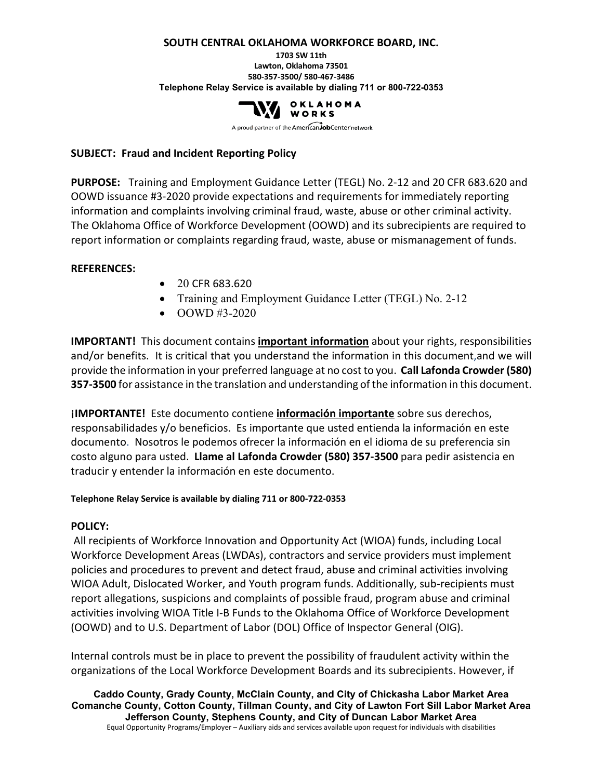#### **SOUTH CENTRAL OKLAHOMA WORKFORCE BOARD, INC.**

#### **1703 SW 11th Lawton, Oklahoma 73501 580-357-3500/ 580-467-3486 Telephone Relay Service is available by dialing 711 or 800-722-0353**



A proud partner of the AmericanJobCenter network

#### **SUBJECT: Fraud and Incident Reporting Policy**

**PURPOSE:** Training and Employment Guidance Letter (TEGL) No. 2-12 and 20 CFR 683.620 and OOWD issuance #3-2020 provide expectations and requirements for immediately reporting information and complaints involving criminal fraud, waste, abuse or other criminal activity. The Oklahoma Office of Workforce Development (OOWD) and its subrecipients are required to report information or complaints regarding fraud, waste, abuse or mismanagement of funds.

#### **REFERENCES:**

- 20 CFR 683.620
- Training and Employment Guidance Letter (TEGL) No. 2-12
- OOWD #3-2020

**IMPORTANT!** This document contains **important information** about your rights, responsibilities and/or benefits. It is critical that you understand the information in this document,and we will provide the information in your preferred language at no cost to you. **Call Lafonda Crowder (580) 357-3500** for assistance in the translation and understanding of the information in this document.

**¡IMPORTANTE!** Este documento contiene **información importante** sobre sus derechos, responsabilidades y/o beneficios. Es importante que usted entienda la información en este documento. Nosotros le podemos ofrecer la información en el idioma de su preferencia sin costo alguno para usted. **Llame al Lafonda Crowder (580) 357-3500** para pedir asistencia en traducir y entender la información en este documento.

#### **Telephone Relay Service is available by dialing 711 or 800-722-0353**

### **POLICY:**

All recipients of Workforce Innovation and Opportunity Act (WIOA) funds, including Local Workforce Development Areas (LWDAs), contractors and service providers must implement policies and procedures to prevent and detect fraud, abuse and criminal activities involving WIOA Adult, Dislocated Worker, and Youth program funds. Additionally, sub-recipients must report allegations, suspicions and complaints of possible fraud, program abuse and criminal activities involving WIOA Title I-B Funds to the Oklahoma Office of Workforce Development (OOWD) and to U.S. Department of Labor (DOL) Office of Inspector General (OIG).

Internal controls must be in place to prevent the possibility of fraudulent activity within the organizations of the Local Workforce Development Boards and its subrecipients. However, if

**Caddo County, Grady County, McClain County, and City of Chickasha Labor Market Area Comanche County, Cotton County, Tillman County, and City of Lawton Fort Sill Labor Market Area Jefferson County, Stephens County, and City of Duncan Labor Market Area** Equal Opportunity Programs/Employer – Auxiliary aids and services available upon request for individuals with disabilities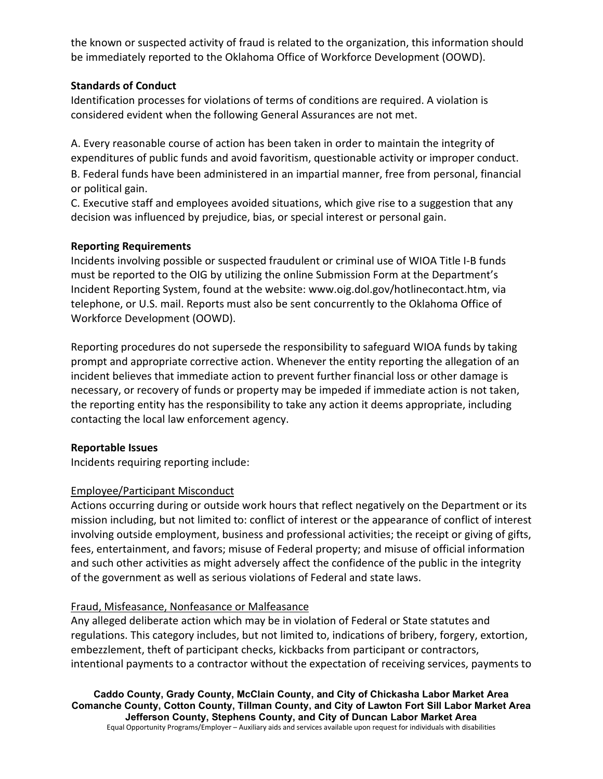the known or suspected activity of fraud is related to the organization, this information should be immediately reported to the Oklahoma Office of Workforce Development (OOWD).

### **Standards of Conduct**

Identification processes for violations of terms of conditions are required. A violation is considered evident when the following General Assurances are not met.

A. Every reasonable course of action has been taken in order to maintain the integrity of expenditures of public funds and avoid favoritism, questionable activity or improper conduct. B. Federal funds have been administered in an impartial manner, free from personal, financial or political gain.

C. Executive staff and employees avoided situations, which give rise to a suggestion that any decision was influenced by prejudice, bias, or special interest or personal gain.

# **Reporting Requirements**

Incidents involving possible or suspected fraudulent or criminal use of WIOA Title I-B funds must be reported to the OIG by utilizing the online Submission Form at the Department's Incident Reporting System, found at the website: www.oig.dol.gov/hotlinecontact.htm, via telephone, or U.S. mail. Reports must also be sent concurrently to the Oklahoma Office of Workforce Development (OOWD).

Reporting procedures do not supersede the responsibility to safeguard WIOA funds by taking prompt and appropriate corrective action. Whenever the entity reporting the allegation of an incident believes that immediate action to prevent further financial loss or other damage is necessary, or recovery of funds or property may be impeded if immediate action is not taken, the reporting entity has the responsibility to take any action it deems appropriate, including contacting the local law enforcement agency.

### **Reportable Issues**

Incidents requiring reporting include:

# Employee/Participant Misconduct

Actions occurring during or outside work hours that reflect negatively on the Department or its mission including, but not limited to: conflict of interest or the appearance of conflict of interest involving outside employment, business and professional activities; the receipt or giving of gifts, fees, entertainment, and favors; misuse of Federal property; and misuse of official information and such other activities as might adversely affect the confidence of the public in the integrity of the government as well as serious violations of Federal and state laws.

# Fraud, Misfeasance, Nonfeasance or Malfeasance

Any alleged deliberate action which may be in violation of Federal or State statutes and regulations. This category includes, but not limited to, indications of bribery, forgery, extortion, embezzlement, theft of participant checks, kickbacks from participant or contractors, intentional payments to a contractor without the expectation of receiving services, payments to

**Caddo County, Grady County, McClain County, and City of Chickasha Labor Market Area Comanche County, Cotton County, Tillman County, and City of Lawton Fort Sill Labor Market Area Jefferson County, Stephens County, and City of Duncan Labor Market Area** Equal Opportunity Programs/Employer – Auxiliary aids and services available upon request for individuals with disabilities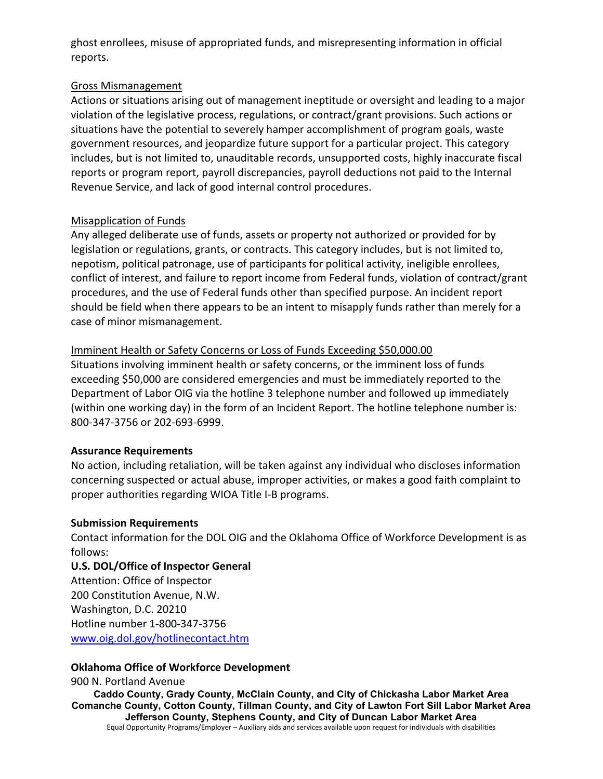ghost enrollees, misuse of appropriated funds, and misrepresenting information in official reports.

### Gross Mismanagement

Actions or situations arising out of management ineptitude or oversight and leading to a major violation of the legislative process, regulations, or contract/grant provisions. Such actions or situations have the potential to severely hamper accomplishment of program goals, waste government resources, and jeopardize future support for a particular project. This category includes, but is not limited to, unauditable records, unsupported costs, highly inaccurate fiscal reports or program report, payroll discrepancies, payroll deductions not paid to the Internal Revenue Service, and lack of good internal control procedures.

# Misapplication of Funds

Any alleged deliberate use of funds, assets or property not authorized or provided for by legislation or regulations, grants, or contracts. This category includes, but is not limited to, nepotism, political patronage, use of participants for political activity, ineligible enrollees, conflict of interest, and failure to report income from Federal funds, violation of contract/grant procedures, and the use of Federal funds other than specified purpose. An incident report should be field when there appears to be an intent to misapply funds rather than merely for a case of minor mismanagement.

### Imminent Health or Safety Concerns or Loss of Funds Exceeding \$50,000.00

Situations involving imminent health or safety concerns, or the imminent loss of funds exceeding \$50,000 are considered emergencies and must be immediately reported to the Department of Labor OIG via the hotline 3 telephone number and followed up immediately (within one working day) in the form of an Incident Report. The hotline telephone number is: 800-347-3756 or 202-693-6999.

### **Assurance Requirements**

No action, including retaliation, will be taken against any individual who discloses information concerning suspected or actual abuse, improper activities, or makes a good faith complaint to proper authorities regarding WIOA Title I-B programs.

### **Submission Requirements**

Contact information for the DOL OIG and the Oklahoma Office of Workforce Development is as follows:

### **U.S. DOL/Office of Inspector General**

Attention: Office of Inspector 200 Constitution Avenue, N.W. Washington, D.C. 20210 Hotline number 1-800-347-3756 [www.oig.dol.gov/hotlinecontact.htm](http://www.oig.dol.gov/hotlinecontact.htm)

### **Oklahoma Office of Workforce Development**

**Caddo County, Grady County, McClain County, and City of Chickasha Labor Market Area Comanche County, Cotton County, Tillman County, and City of Lawton Fort Sill Labor Market Area Jefferson County, Stephens County, and City of Duncan Labor Market Area** Equal Opportunity Programs/Employer – Auxiliary aids and services available upon request for individuals with disabilities 900 N. Portland Avenue